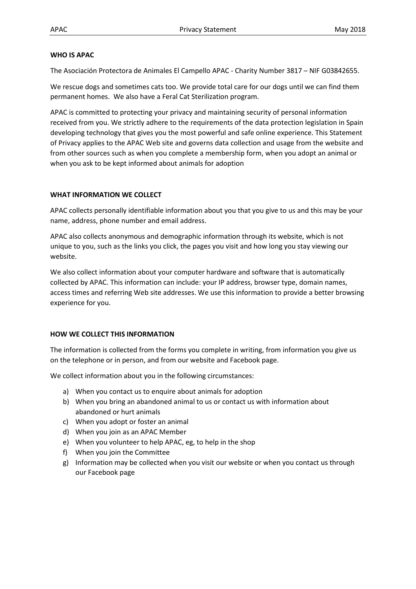### **WHO IS APAC**

The Asociación Protectora de Animales El Campello APAC - Charity Number 3817 – NIF G03842655.

We rescue dogs and sometimes cats too. We provide total care for our dogs until we can find them permanent homes. We also have a Feral Cat Sterilization program.

APAC is committed to protecting your privacy and maintaining security of personal information received from you. We strictly adhere to the requirements of the data protection legislation in Spain developing technology that gives you the most powerful and safe online experience. This Statement of Privacy applies to the APAC Web site and governs data collection and usage from the website and from other sources such as when you complete a membership form, when you adopt an animal or when you ask to be kept informed about animals for adoption

### **WHAT INFORMATION WE COLLECT**

APAC collects personally identifiable information about you that you give to us and this may be your name, address, phone number and email address.

APAC also collects anonymous and demographic information through its website, which is not unique to you, such as the links you click, the pages you visit and how long you stay viewing our website.

We also collect information about your computer hardware and software that is automatically collected by APAC. This information can include: your IP address, browser type, domain names, access times and referring Web site addresses. We use this information to provide a better browsing experience for you.

# **HOW WE COLLECT THIS INFORMATION**

The information is collected from the forms you complete in writing, from information you give us on the telephone or in person, and from our website and Facebook page.

We collect information about you in the following circumstances:

- a) When you contact us to enquire about animals for adoption
- b) When you bring an abandoned animal to us or contact us with information about abandoned or hurt animals
- c) When you adopt or foster an animal
- d) When you join as an APAC Member
- e) When you volunteer to help APAC, eg, to help in the shop
- f) When you join the Committee
- g) Information may be collected when you visit our website or when you contact us through our Facebook page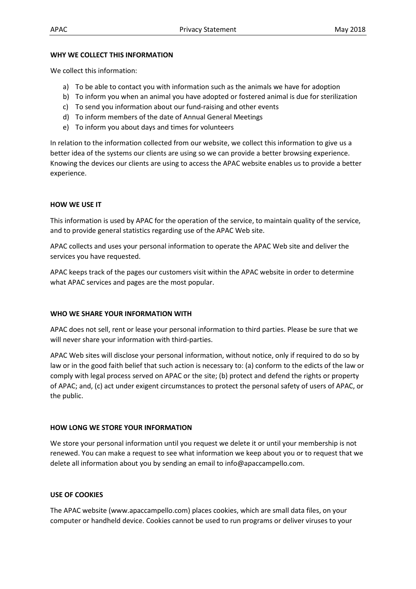#### **WHY WE COLLECT THIS INFORMATION**

We collect this information:

- a) To be able to contact you with information such as the animals we have for adoption
- b) To inform you when an animal you have adopted or fostered animal is due for sterilization
- c) To send you information about our fund-raising and other events
- d) To inform members of the date of Annual General Meetings
- e) To inform you about days and times for volunteers

In relation to the information collected from our website, we collect this information to give us a better idea of the systems our clients are using so we can provide a better browsing experience. Knowing the devices our clients are using to access the APAC website enables us to provide a better experience.

## **HOW WE USE IT**

This information is used by APAC for the operation of the service, to maintain quality of the service, and to provide general statistics regarding use of the APAC Web site.

APAC collects and uses your personal information to operate the APAC Web site and deliver the services you have requested.

APAC keeps track of the pages our customers visit within the APAC website in order to determine what APAC services and pages are the most popular.

### **WHO WE SHARE YOUR INFORMATION WITH**

APAC does not sell, rent or lease your personal information to third parties. Please be sure that we will never share your information with third-parties.

APAC Web sites will disclose your personal information, without notice, only if required to do so by law or in the good faith belief that such action is necessary to: (a) conform to the edicts of the law or comply with legal process served on APAC or the site; (b) protect and defend the rights or property of APAC; and, (c) act under exigent circumstances to protect the personal safety of users of APAC, or the public.

# **HOW LONG WE STORE YOUR INFORMATION**

We store your personal information until you request we delete it or until your membership is not renewed. You can make a request to see what information we keep about you or to request that we delete all information about you by sending an email to info@apaccampello.com.

# **USE OF COOKIES**

The APAC website (www.apaccampello.com) places cookies, which are small data files, on your computer or handheld device. Cookies cannot be used to run programs or deliver viruses to your